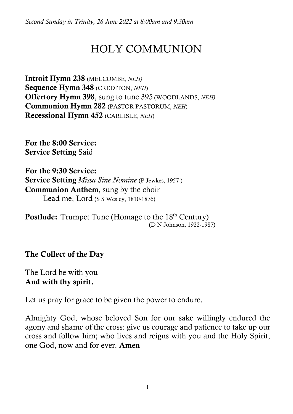*Second Sunday in Trinity, 26 June 2022 at 8:00am and 9:30am*

# HOLY COMMUNION

Introit Hymn 238 (MELCOMBE, *NEH)*  Sequence Hymn 348 (CREDITON, *NEH*) Offertory Hymn 398, sung to tune 395 (WOODLANDS, *NEH)*  Communion Hymn 282 (PASTOR PASTORUM, *NEH*) Recessional Hymn 452 (CARLISLE, *NEH*)

For the 8:00 Service: Service Setting Said

For the 9:30 Service: Service Setting *Missa Sine Nomine* (P Jewkes, 1957-) Communion Anthem, sung by the choir Lead me, Lord (S S Wesley, 1810-1876)

**Postlude:** Trumpet Tune (Homage to the 18<sup>th</sup> Century)<br>(D N Johnson, 1922-1987)

The Collect of the Day

The Lord be with you And with thy spirit.

Let us pray for grace to be given the power to endure.

Almighty God, whose beloved Son for our sake willingly endured the agony and shame of the cross: give us courage and patience to take up our cross and follow him; who lives and reigns with you and the Holy Spirit, one God, now and for ever. Amen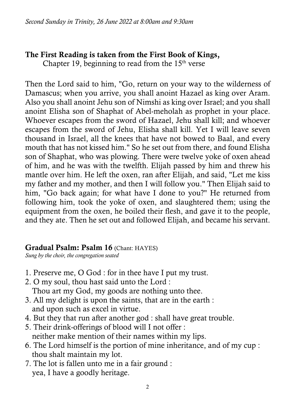## The First Reading is taken from the First Book of Kings,

Chapter 19, beginning to read from the  $15<sup>th</sup>$  verse

Then the Lord said to him, "Go, return on your way to the wilderness of Damascus; when you arrive, you shall anoint Hazael as king over Aram. Also you shall anoint Jehu son of Nimshi as king over Israel; and you shall anoint Elisha son of Shaphat of Abel-meholah as prophet in your place. Whoever escapes from the sword of Hazael, Jehu shall kill; and whoever escapes from the sword of Jehu, Elisha shall kill. Yet I will leave seven thousand in Israel, all the knees that have not bowed to Baal, and every mouth that has not kissed him." So he set out from there, and found Elisha son of Shaphat, who was plowing. There were twelve yoke of oxen ahead of him, and he was with the twelfth. Elijah passed by him and threw his mantle over him. He left the oxen, ran after Elijah, and said, "Let me kiss my father and my mother, and then I will follow you." Then Elijah said to him, "Go back again; for what have I done to you?" He returned from following him, took the yoke of oxen, and slaughtered them; using the equipment from the oxen, he boiled their flesh, and gave it to the people, and they ate. Then he set out and followed Elijah, and became his servant.

## Gradual Psalm: Psalm 16 (Chant: HAYES)

*Sung by the choir, the congregation seated*

- 1. Preserve me, O God : for in thee have I put my trust.
- 2. O my soul, thou hast said unto the Lord : Thou art my God, my goods are nothing unto thee.
- 3. All my delight is upon the saints, that are in the earth : and upon such as excel in virtue.
- 4. But they that run after another god : shall have great trouble.
- 5. Their drink-offerings of blood will I not offer : neither make mention of their names within my lips.
- 6. The Lord himself is the portion of mine inheritance, and of my cup : thou shalt maintain my lot.
- 7. The lot is fallen unto me in a fair ground : yea, I have a goodly heritage.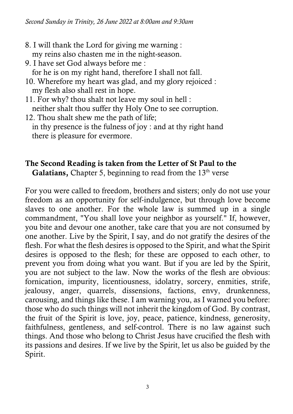- 8. I will thank the Lord for giving me warning : my reins also chasten me in the night-season.
- 9. I have set God always before me : for he is on my right hand, therefore I shall not fall.
- 10. Wherefore my heart was glad, and my glory rejoiced : my flesh also shall rest in hope.
- 11. For why? thou shalt not leave my soul in hell : neither shalt thou suffer thy Holy One to see corruption.
- 12. Thou shalt shew me the path of life; in thy presence is the fulness of joy : and at thy right hand there is pleasure for evermore.

## The Second Reading is taken from the Letter of St Paul to the

**Galatians,** Chapter 5, beginning to read from the  $13<sup>th</sup>$  verse

For you were called to freedom, brothers and sisters; only do not use your freedom as an opportunity for self-indulgence, but through love become slaves to one another. For the whole law is summed up in a single commandment, "You shall love your neighbor as yourself." If, however, you bite and devour one another, take care that you are not consumed by one another. Live by the Spirit, I say, and do not gratify the desires of the flesh. For what the flesh desires is opposed to the Spirit, and what the Spirit desires is opposed to the flesh; for these are opposed to each other, to prevent you from doing what you want. But if you are led by the Spirit, you are not subject to the law. Now the works of the flesh are obvious: fornication, impurity, licentiousness, idolatry, sorcery, enmities, strife, jealousy, anger, quarrels, dissensions, factions, envy, drunkenness, carousing, and things like these. I am warning you, as I warned you before: those who do such things will not inherit the kingdom of God. By contrast, the fruit of the Spirit is love, joy, peace, patience, kindness, generosity, faithfulness, gentleness, and self-control. There is no law against such things. And those who belong to Christ Jesus have crucified the flesh with its passions and desires. If we live by the Spirit, let us also be guided by the Spirit.